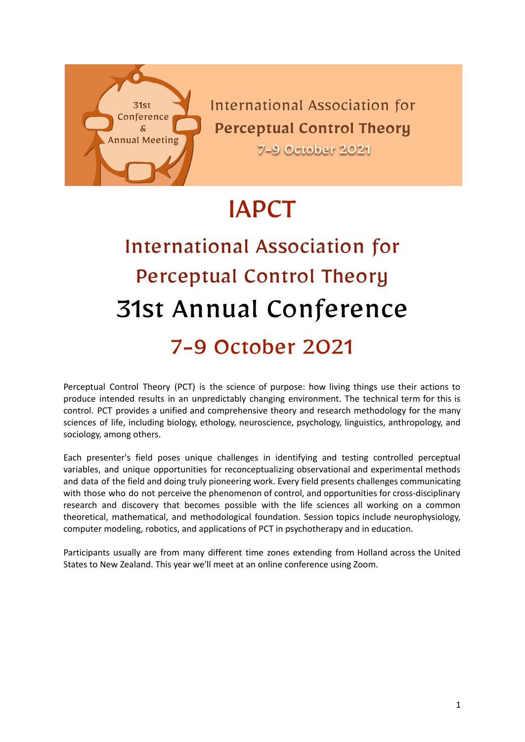

**International Association for Perceptual Control Theory** 

**7-9 October 2021** 

# IAPCT

# International Association for Perceptual Control Theory 31st Annual Conference 7-9 October 2021

Perceptual Control Theory (PCT) is the science of purpose: how living things use their actions to produce intended results in an unpredictably changing environment. The technical term for this is control. PCT provides a unified and comprehensive theory and research methodology for the many sciences of life, including biology, ethology, neuroscience, psychology, linguistics, anthropology, and sociology, among others.

Each presenter's field poses unique challenges in identifying and testing controlled perceptual variables, and unique opportunities for reconceptualizing observational and experimental methods and data of the field and doing truly pioneering work. Every field presents challenges communicating with those who do not perceive the phenomenon of control, and opportunities for cross-disciplinary research and discovery that becomes possible with the life sciences all working on a common theoretical, mathematical, and methodological foundation. Session topics include neurophysiology, computer modeling, robotics, and applications of PCT in psychotherapy and in education.

Participants usually are from many different time zones extending from Holland across the United States to New Zealand. This year we'll meet at an online conference using Zoom.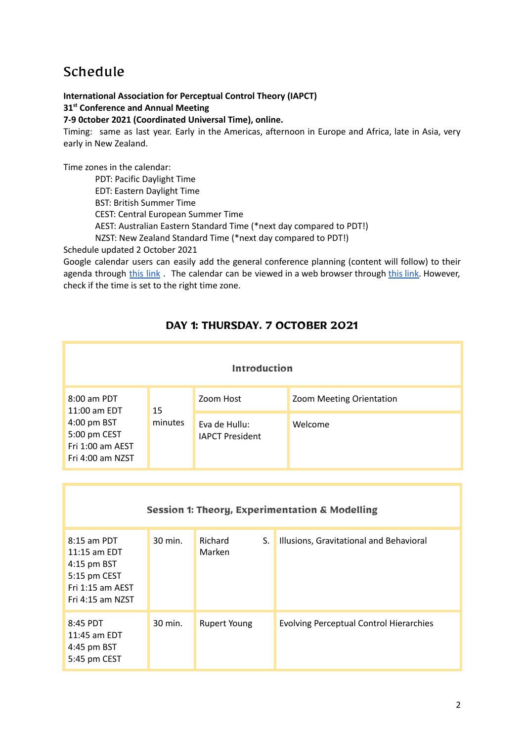# Schedule

**International Association for Perceptual Control Theory (IAPCT) 31 st Conference and Annual Meeting**

**7-9 0ctober 2021 (Coordinated Universal Time), online.**

Timing: same as last year. Early in the Americas, afternoon in Europe and Africa, late in Asia, very early in New Zealand.

Time zones in the calendar:

PDT: Pacific Daylight Time EDT: Eastern Daylight Time BST: British Summer Time CEST: Central European Summer Time AEST: Australian Eastern Standard Time (\*next day compared to PDT!) NZST: New Zealand Standard Time (\*next day compared to PDT!)

Schedule updated 2 October 2021

Google calendar users can easily add the general conference planning (content will follow) to their agenda through [this](https://calendar.google.com/calendar/u/0?cid=MGhlZGR0NXFtczMxdnVxMzRwNWJlY2x2MmNAZ3JvdXAuY2FsZW5kYXIuZ29vZ2xlLmNvbQ) link . The calendar can be viewed in a web browser through this [link.](https://calendar.google.com/calendar/embed?src=0heddt5qms31vuq34p5beclv2c%40group.calendar.google.com&ctz=Europe%2FAmsterdam) However, check if the time is set to the right time zone.

# **DAY 1: THURSDAY. 7 OCTOBER 2021**

| Introduction                                                        |         |                                         |                          |  |  |  |
|---------------------------------------------------------------------|---------|-----------------------------------------|--------------------------|--|--|--|
| 8:00 am PDT<br>11:00 am EDT                                         | 15      | Zoom Host                               | Zoom Meeting Orientation |  |  |  |
| 4:00 pm BST<br>5:00 pm CEST<br>Fri 1:00 am AEST<br>Fri 4:00 am NZST | minutes | Eva de Hullu:<br><b>IAPCT President</b> | Welcome                  |  |  |  |

| <b>Session 1: Theory, Experimentation &amp; Modelling</b>                                              |         |                          |    |                                                |  |  |
|--------------------------------------------------------------------------------------------------------|---------|--------------------------|----|------------------------------------------------|--|--|
| $8:15$ am PDT<br>$11:15$ am EDT<br>4:15 pm BST<br>5:15 pm CEST<br>Fri 1:15 am AEST<br>Fri 4:15 am NZST | 30 min. | <b>Richard</b><br>Marken | S. | Illusions, Gravitational and Behavioral        |  |  |
| 8:45 PDT<br>11:45 am EDT<br>$4:45$ pm BST<br>5:45 pm CEST                                              | 30 min. | <b>Rupert Young</b>      |    | <b>Evolving Perceptual Control Hierarchies</b> |  |  |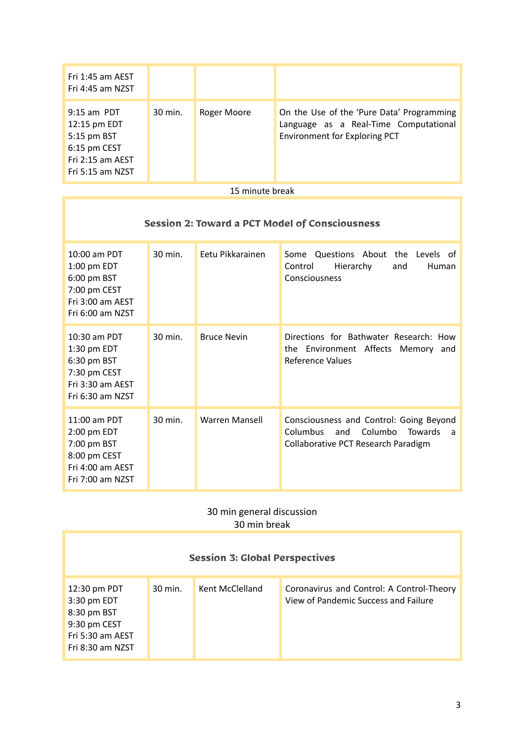| Fri 1:45 am AEST<br>Fri 4:45 am NZST                                                                 |         |             |                                                                                                                     |
|------------------------------------------------------------------------------------------------------|---------|-------------|---------------------------------------------------------------------------------------------------------------------|
| $9:15$ am PDT<br>12:15 pm EDT<br>5:15 pm BST<br>6:15 pm CEST<br>Fri 2:15 am AEST<br>Fri 5:15 am NZST | 30 min. | Roger Moore | On the Use of the 'Pure Data' Programming<br>Language as a Real-Time Computational<br>Environment for Exploring PCT |

#### 15 minute break

# **Session 2: Toward a PCT Model of Consciousness**

| 10:00 am PDT<br>1:00 pm EDT<br>6:00 pm BST<br>7:00 pm CEST<br>Fri 3:00 am AEST<br>Fri 6:00 am NZST | 30 min. | Eetu Pikkarainen      | Questions About the Levels<br>Some<br>of<br>Hierarchy<br>Control<br>and<br>Human<br>Consciousness                                          |
|----------------------------------------------------------------------------------------------------|---------|-----------------------|--------------------------------------------------------------------------------------------------------------------------------------------|
| 10:30 am PDT<br>1:30 pm EDT<br>6:30 pm BST<br>7:30 pm CEST<br>Fri 3:30 am AEST<br>Fri 6:30 am NZST | 30 min. | <b>Bruce Nevin</b>    | Directions for Bathwater Research: How<br>the Environment Affects Memory<br>and<br>Reference Values                                        |
| 11:00 am PDT<br>2:00 pm EDT<br>7:00 pm BST<br>8:00 pm CEST<br>Fri 4:00 am AEST<br>Fri 7:00 am NZST | 30 min. | <b>Warren Mansell</b> | Consciousness and Control: Going Beyond<br>Columbo<br>Columbus<br>and<br><b>Towards</b><br><b>a</b><br>Collaborative PCT Research Paradigm |

## 30 min general discussion 30 min break

| <b>Session 3: Global Perspectives</b>                                                              |         |                 |                                                                                   |  |  |  |
|----------------------------------------------------------------------------------------------------|---------|-----------------|-----------------------------------------------------------------------------------|--|--|--|
| 12:30 pm PDT<br>3:30 pm EDT<br>8:30 pm BST<br>9:30 pm CEST<br>Fri 5:30 am AEST<br>Fri 8:30 am NZST | 30 min. | Kent McClelland | Coronavirus and Control: A Control-Theory<br>View of Pandemic Success and Failure |  |  |  |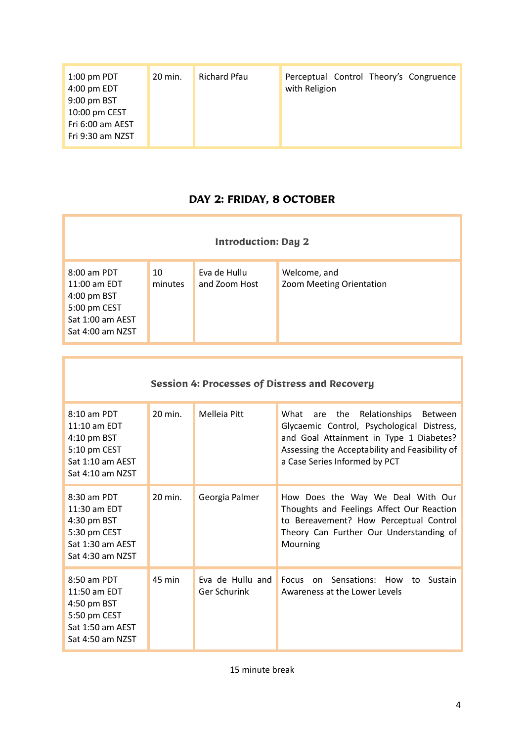| $1:00$ pm PDT<br>4:00 pm EDT<br>9:00 pm BST<br>10:00 pm CEST<br>Fri 6:00 am AEST | 20 min. | Richard Pfau | Perceptual Control Theory's Congruence<br>with Religion |
|----------------------------------------------------------------------------------|---------|--------------|---------------------------------------------------------|
| Fri 9:30 am NZST                                                                 |         |              |                                                         |

# **DAY 2: FRIDAY, 8 OCTOBER**

| <b>Introduction: Day 2</b>                                                                           |               |                               |                                          |  |  |
|------------------------------------------------------------------------------------------------------|---------------|-------------------------------|------------------------------------------|--|--|
| 8:00 am PDT<br>$11:00$ am EDT<br>4:00 pm BST<br>5:00 pm CEST<br>Sat 1:00 am AEST<br>Sat 4:00 am NZST | 10<br>minutes | Eva de Hullu<br>and Zoom Host | Welcome, and<br>Zoom Meeting Orientation |  |  |

| <b>Session 4: Processes of Distress and Recovery</b>                                                   |         |                                  |                                                                                                                                                                                                                      |  |  |
|--------------------------------------------------------------------------------------------------------|---------|----------------------------------|----------------------------------------------------------------------------------------------------------------------------------------------------------------------------------------------------------------------|--|--|
| $8:10$ am PDT<br>11:10 am EDT<br>4:10 pm BST<br>5:10 pm CEST<br>Sat 1:10 am AEST<br>Sat 4:10 am NZST   | 20 min. | Melleja Pitt                     | What are the<br>Relationships<br>Between<br>Glycaemic Control, Psychological Distress,<br>and Goal Attainment in Type 1 Diabetes?<br>Assessing the Acceptability and Feasibility of<br>a Case Series Informed by PCT |  |  |
| $8:30$ am PDT<br>$11:30$ am EDT<br>4:30 pm BST<br>5:30 pm CEST<br>Sat 1:30 am AEST<br>Sat 4:30 am NZST | 20 min. | Georgia Palmer                   | How Does the Way We Deal With Our<br>Thoughts and Feelings Affect Our Reaction<br>to Bereavement? How Perceptual Control<br>Theory Can Further Our Understanding of<br>Mourning                                      |  |  |
| 8:50 am PDT<br>11:50 am EDT<br>4:50 pm BST<br>5:50 pm CEST<br>Sat 1:50 am AEST<br>Sat 4:50 am NZST     | 45 min  | Eva de Hullu and<br>Ger Schurink | <b>Focus</b><br>on Sensations: How<br>Sustain<br>to<br>Awareness at the Lower Levels                                                                                                                                 |  |  |

15 minute break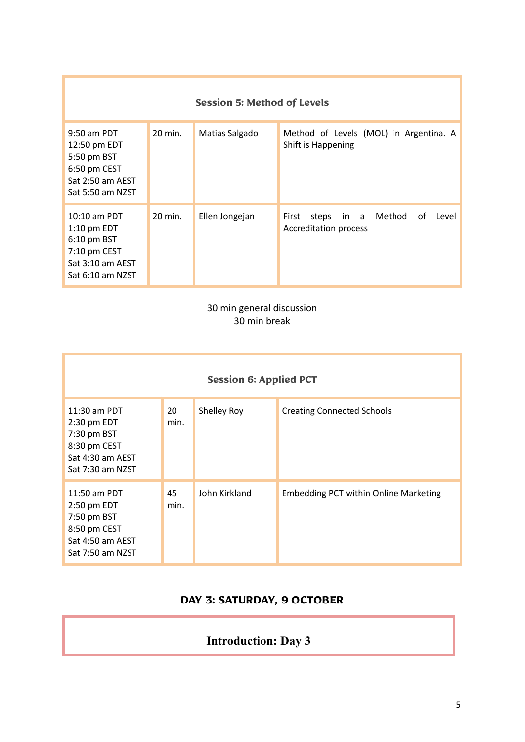| <b>Session 5: Method of Levels</b>                                                                       |                    |                |                                                                              |  |  |  |
|----------------------------------------------------------------------------------------------------------|--------------------|----------------|------------------------------------------------------------------------------|--|--|--|
| $9:50$ am PDT<br>12:50 pm EDT<br>5:50 pm BST<br>6:50 pm CEST<br>Sat 2:50 am AEST<br>Sat 5:50 am NZST     | $20 \text{ min}$ . | Matias Salgado | Method of Levels (MOL) in Argentina. A<br>Shift is Happening                 |  |  |  |
| $10:10$ am PDT<br>$1:10$ pm EDT<br>$6:10$ pm BST<br>7:10 pm CEST<br>Sat 3:10 am AEST<br>Sat 6:10 am NZST | $20 \text{ min}$ . | Ellen Jongejan | in a Method<br>First<br>оf<br>steps<br>Level<br><b>Accreditation process</b> |  |  |  |

# 30 min general discussion 30 min break

| <b>Session 6: Applied PCT</b>                                                                        |            |               |                                              |  |  |
|------------------------------------------------------------------------------------------------------|------------|---------------|----------------------------------------------|--|--|
| $11:30$ am PDT<br>2:30 pm EDT<br>7:30 pm BST<br>8:30 pm CEST<br>Sat 4:30 am AEST<br>Sat 7:30 am NZST | 20<br>min. | Shelley Roy   | <b>Creating Connected Schools</b>            |  |  |
| 11:50 am PDT<br>2:50 pm EDT<br>7:50 pm BST<br>8:50 pm CEST<br>Sat 4:50 am AEST<br>Sat 7:50 am NZST   | 45<br>min. | John Kirkland | <b>Embedding PCT within Online Marketing</b> |  |  |

# **DAY 3: SATURDAY, 9 OCTOBER**

# **Introduction: Day 3**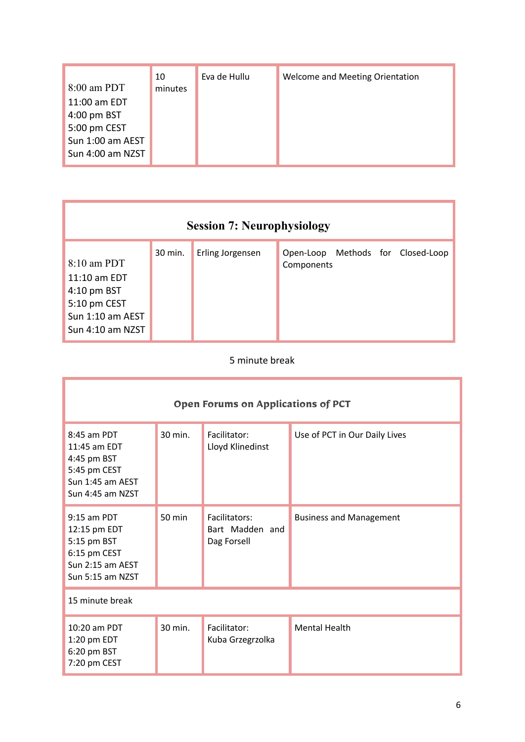|                  | 10      | Eva de Hullu | Welcome and Meeting Orientation |
|------------------|---------|--------------|---------------------------------|
| 8:00 am PDT      | minutes |              |                                 |
| 11:00 am EDT     |         |              |                                 |
| 4:00 pm BST      |         |              |                                 |
| 5:00 pm CEST     |         |              |                                 |
| Sun 1:00 am AEST |         |              |                                 |
| Sun 4:00 am NZST |         |              |                                 |
|                  |         |              |                                 |

| <b>Session 7: Neurophysiology</b>                                                                                        |         |                  |                                                 |  |  |
|--------------------------------------------------------------------------------------------------------------------------|---------|------------------|-------------------------------------------------|--|--|
| $8:10$ am PDT<br>$11:10$ am EDT<br>$4:10 \text{ pm } \text{BST}$<br>5:10 pm CEST<br>Sun 1:10 am AEST<br>Sun 4:10 am NZST | 30 min. | Erling Jorgensen | Open-Loop Methods for Closed-Loop<br>Components |  |  |

## 5 minute break

| <b>Open Forums on Applications of PCT</b>                                                            |         |                                                 |                                |  |  |
|------------------------------------------------------------------------------------------------------|---------|-------------------------------------------------|--------------------------------|--|--|
| 8:45 am PDT<br>11:45 am EDT<br>4:45 pm BST<br>5:45 pm CEST<br>Sun 1:45 am AEST<br>Sun 4:45 am NZST   | 30 min. | Facilitator:<br>Lloyd Klinedinst                | Use of PCT in Our Daily Lives  |  |  |
| $9:15$ am PDT<br>12:15 pm EDT<br>5:15 pm BST<br>6:15 pm CEST<br>Sun 2:15 am AEST<br>Sun 5:15 am NZST | 50 min  | Facilitators:<br>Bart Madden and<br>Dag Forsell | <b>Business and Management</b> |  |  |
| 15 minute break                                                                                      |         |                                                 |                                |  |  |
| 10:20 am PDT<br>1:20 pm EDT<br>6:20 pm BST<br>7:20 pm CEST                                           | 30 min. | Facilitator:<br>Kuba Grzegrzolka                | <b>Mental Health</b>           |  |  |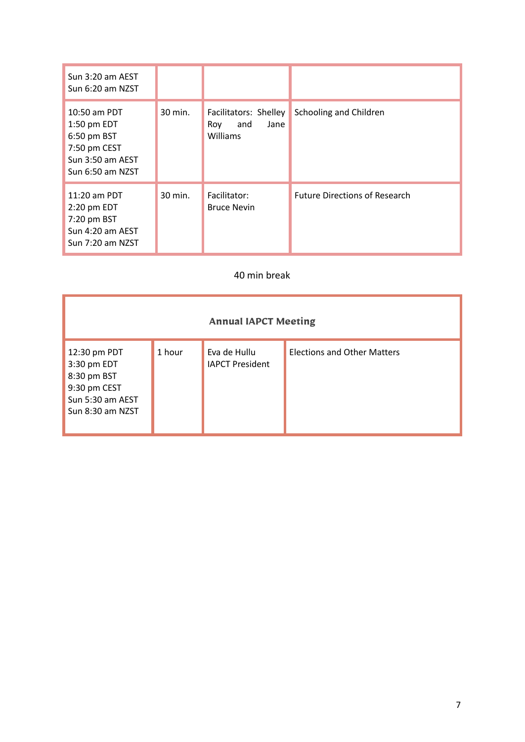| Sun 3:20 am AEST<br>Sun 6:20 am NZST                                                               |         |                                                         |                                      |
|----------------------------------------------------------------------------------------------------|---------|---------------------------------------------------------|--------------------------------------|
| 10:50 am PDT<br>1:50 pm EDT<br>6:50 pm BST<br>7:50 pm CEST<br>Sun 3:50 am AEST<br>Sun 6:50 am NZST | 30 min. | Facilitators: Shelley<br>and<br>Jane<br>Roy<br>Williams | Schooling and Children               |
| $11:20$ am PDT<br>2:20 pm EDT<br>7:20 pm BST<br>Sun 4:20 am AEST<br>Sun 7:20 am NZST               | 30 min. | Facilitator:<br><b>Bruce Nevin</b>                      | <b>Future Directions of Research</b> |

### 40 min break

| <b>Annual IAPCT Meeting</b>                                                                        |        |                                        |                                    |  |  |  |
|----------------------------------------------------------------------------------------------------|--------|----------------------------------------|------------------------------------|--|--|--|
| 12:30 pm PDT<br>3:30 pm EDT<br>8:30 pm BST<br>9:30 pm CEST<br>Sun 5:30 am AEST<br>Sun 8:30 am NZST | 1 hour | Eva de Hullu<br><b>IAPCT President</b> | <b>Elections and Other Matters</b> |  |  |  |

۷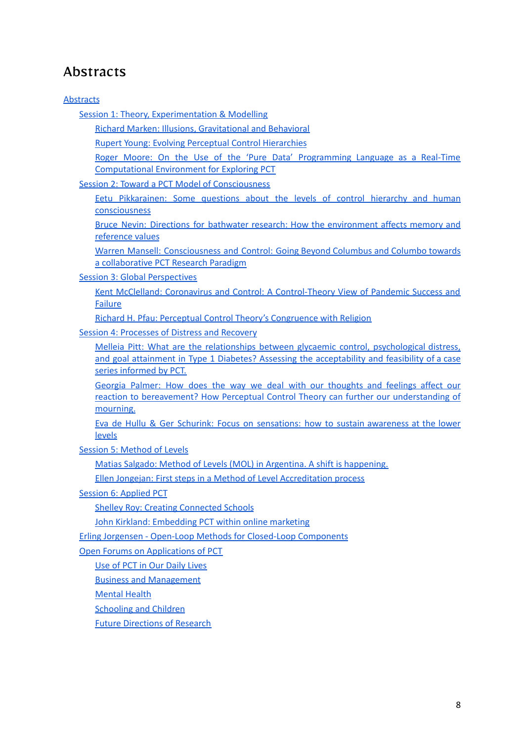# <span id="page-7-0"></span>Abstracts

#### **[Abstracts](#page-7-0)**

Session 1: Theory, [Experimentation](#page-8-0) & Modelling

Richard Marken: Illusions, [Gravitational](#page-8-1) and Behavioral

Rupert Young: Evolving Perceptual Control [Hierarchies](#page-8-2)

Roger Moore: On the Use of the 'Pure Data' [Programming](#page-8-3) Language as a Real-Time [Computational](#page-8-3) Environment for Exploring PCT

Session 2: Toward a PCT Model of [Consciousness](#page-9-0)

Eetu [Pikkarainen:](#page-9-1) Some questions about the levels of control hierarchy and human [consciousness](#page-9-1)

Bruce Nevin: Directions for bathwater research: How the [environment](#page-9-2) affects memory and [reference](#page-9-2) values

Warren Mansell: [Consciousness](#page-10-0) and Control: Going Beyond Columbus and Columbo towards a [collaborative](#page-10-0) PCT Research Paradigm

Session 3: Global [Perspectives](#page-11-0)

Kent McClelland: Coronavirus and Control: A [Control-Theory](#page-11-1) View of Pandemic Success and [Failure](#page-11-1)

Richard H. Pfau: Perceptual Control Theory's [Congruence](#page-12-0) with Religion

Session 4: [Processes](#page-12-1) of Distress and Recovery

Melleia Pitt: What are the relationships between glycaemic control, [psychological](#page-12-2) distress, and goal attainment in Type 1 Diabetes? Assessing the [acceptability](#page-12-2) and feasibility of a case series [informed](#page-12-2) by PCT.

Georgia Palmer: How does the way we deal with our [thoughts](#page-13-0) and feelings affect our reaction to [bereavement?](#page-13-0) How Perceptual Control Theory can further our understanding of [mourning.](#page-13-0)

Eva de Hullu & Ger Schurink: Focus on [sensations:](#page-14-0) how to sustain awareness at the lower [levels](#page-14-0)

Session 5: [Method](#page-14-1) of Levels

Matias Salgado: Method of Levels (MOL) in Argentina. A shift is [happening.](#page-14-2)

Ellen Jongejan: First steps in a Method of Level [Accreditation](#page-15-0) process

Session 6: [Applied](#page-15-1) PCT

Shelley Roy: Creating [Connected](#page-15-2) Schools

John Kirkland: [Embedding](#page-15-3) PCT within online marketing

Erling Jorgensen - Open-Loop Methods for Closed-Loop [Components](#page-16-0)

Open Forums on [Applications](#page-16-1) of PCT

Use of PCT in Our [Daily](#page-16-2) Lives

Business and [Management](#page-16-3)

[Mental](#page-17-0) Health

[Schooling](#page-17-1) and Children

Future [Directions](#page-17-2) of Research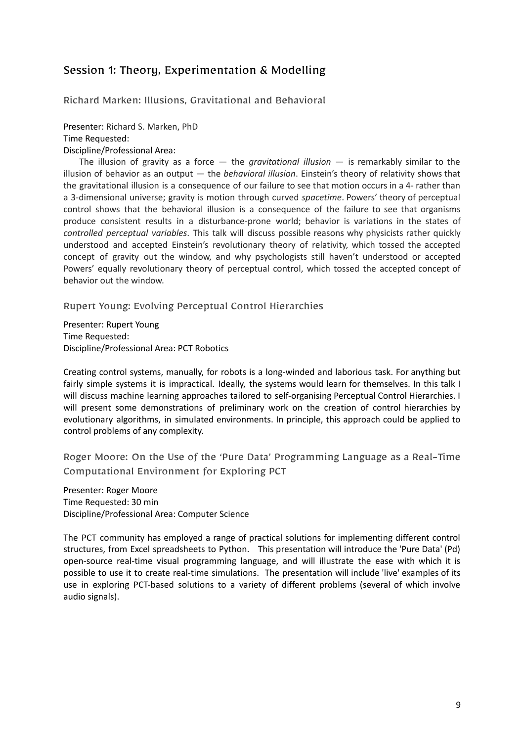# <span id="page-8-0"></span>Session 1: Theory, Experimentation & Modelling

<span id="page-8-1"></span>Richard Marken: Illusions, Gravitational and Behavioral

Presenter: Richard S. Marken, PhD Time Requested: Discipline/Professional Area:

The illusion of gravity as a force — the *gravitational illusion* — is remarkably similar to the illusion of behavior as an output — the *behavioral illusion*. Einstein's theory of relativity shows that the gravitational illusion is a consequence of our failure to see that motion occurs in a 4- rather than a 3-dimensional universe; gravity is motion through curved *spacetime*. Powers' theory of perceptual control shows that the behavioral illusion is a consequence of the failure to see that organisms produce consistent results in a disturbance-prone world; behavior is variations in the states of *controlled perceptual variables*. This talk will discuss possible reasons why physicists rather quickly understood and accepted Einstein's revolutionary theory of relativity, which tossed the accepted concept of gravity out the window, and why psychologists still haven't understood or accepted Powers' equally revolutionary theory of perceptual control, which tossed the accepted concept of behavior out the window.

<span id="page-8-2"></span>Rupert Young: Evolving Perceptual Control Hierarchies

Presenter: Rupert Young Time Requested: Discipline/Professional Area: PCT Robotics

Creating control systems, manually, for robots is a long-winded and laborious task. For anything but fairly simple systems it is impractical. Ideally, the systems would learn for themselves. In this talk I will discuss machine learning approaches tailored to self-organising Perceptual Control Hierarchies. I will present some demonstrations of preliminary work on the creation of control hierarchies by evolutionary algorithms, in simulated environments. In principle, this approach could be applied to control problems of any complexity.

<span id="page-8-3"></span>Roger Moore: On the Use of the 'Pure Data' Programming Language as a Real-Time Computational Environment for Exploring PCT

Presenter: Roger Moore Time Requested: 30 min Discipline/Professional Area: Computer Science

The PCT community has employed a range of practical solutions for implementing different control structures, from Excel spreadsheets to Python. This presentation will introduce the 'Pure Data' (Pd) open-source real-time visual programming language, and will illustrate the ease with which it is possible to use it to create real-time simulations. The presentation will include 'live' examples of its use in exploring PCT-based solutions to a variety of different problems (several of which involve audio signals).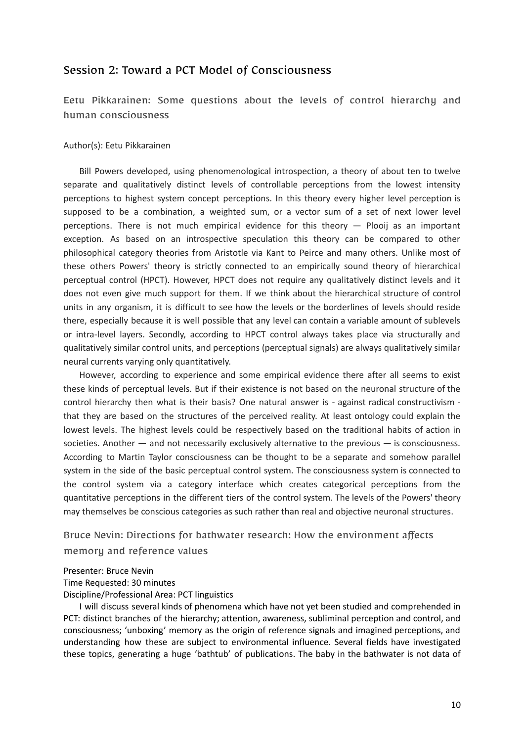### <span id="page-9-0"></span>Session 2: Toward a PCT Model of Consciousness

<span id="page-9-1"></span>Eetu Pikkarainen: Some questions about the levels of control hierarchy and human consciousness

#### Author(s): Eetu Pikkarainen

Bill Powers developed, using phenomenological introspection, a theory of about ten to twelve separate and qualitatively distinct levels of controllable perceptions from the lowest intensity perceptions to highest system concept perceptions. In this theory every higher level perception is supposed to be a combination, a weighted sum, or a vector sum of a set of next lower level perceptions. There is not much empirical evidence for this theory — Plooij as an important exception. As based on an introspective speculation this theory can be compared to other philosophical category theories from Aristotle via Kant to Peirce and many others. Unlike most of these others Powers' theory is strictly connected to an empirically sound theory of hierarchical perceptual control (HPCT). However, HPCT does not require any qualitatively distinct levels and it does not even give much support for them. If we think about the hierarchical structure of control units in any organism, it is difficult to see how the levels or the borderlines of levels should reside there, especially because it is well possible that any level can contain a variable amount of sublevels or intra-level layers. Secondly, according to HPCT control always takes place via structurally and qualitatively similar control units, and perceptions (perceptual signals) are always qualitatively similar neural currents varying only quantitatively.

However, according to experience and some empirical evidence there after all seems to exist these kinds of perceptual levels. But if their existence is not based on the neuronal structure of the control hierarchy then what is their basis? One natural answer is - against radical constructivism that they are based on the structures of the perceived reality. At least ontology could explain the lowest levels. The highest levels could be respectively based on the traditional habits of action in societies. Another  $-$  and not necessarily exclusively alternative to the previous  $-$  is consciousness. According to Martin Taylor consciousness can be thought to be a separate and somehow parallel system in the side of the basic perceptual control system. The consciousness system is connected to the control system via a category interface which creates categorical perceptions from the quantitative perceptions in the different tiers of the control system. The levels of the Powers' theory may themselves be conscious categories as such rather than real and objective neuronal structures.

# <span id="page-9-2"></span>Bruce Nevin: Directions for bathwater research: How the environment affects memory and reference values

#### Presenter: Bruce Nevin

Time Requested: 30 minutes

#### Discipline/Professional Area: PCT linguistics

I will discuss several kinds of phenomena which have not yet been studied and comprehended in PCT: distinct branches of the hierarchy; attention, awareness, subliminal perception and control, and consciousness; 'unboxing' memory as the origin of reference signals and imagined perceptions, and understanding how these are subject to environmental influence. Several fields have investigated these topics, generating a huge 'bathtub' of publications. The baby in the bathwater is not data of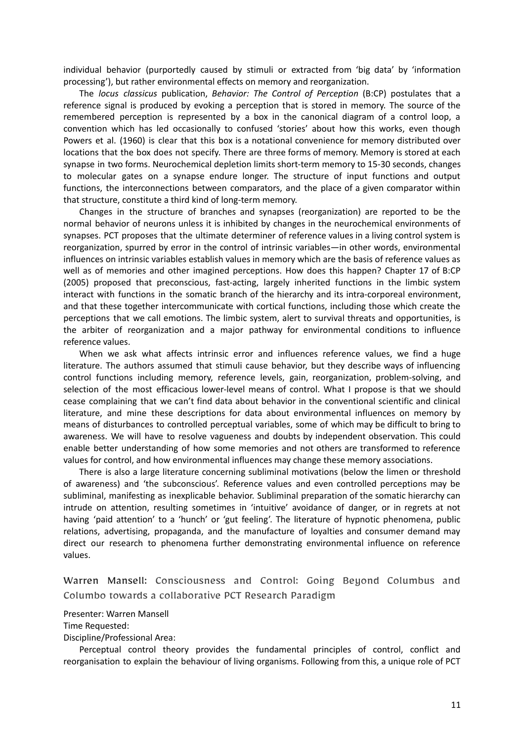individual behavior (purportedly caused by stimuli or extracted from 'big data' by 'information processing'), but rather environmental effects on memory and reorganization.

The *locus classicus* publication, *Behavior: The Control of Perception* (B:CP) postulates that a reference signal is produced by evoking a perception that is stored in memory. The source of the remembered perception is represented by a box in the canonical diagram of a control loop, a convention which has led occasionally to confused 'stories' about how this works, even though Powers et al. (1960) is clear that this box is a notational convenience for memory distributed over locations that the box does not specify. There are three forms of memory. Memory is stored at each synapse in two forms. Neurochemical depletion limits short-term memory to 15-30 seconds, changes to molecular gates on a synapse endure longer. The structure of input functions and output functions, the interconnections between comparators, and the place of a given comparator within that structure, constitute a third kind of long-term memory.

Changes in the structure of branches and synapses (reorganization) are reported to be the normal behavior of neurons unless it is inhibited by changes in the neurochemical environments of synapses. PCT proposes that the ultimate determiner of reference values in a living control system is reorganization, spurred by error in the control of intrinsic variables—in other words, environmental influences on intrinsic variables establish values in memory which are the basis of reference values as well as of memories and other imagined perceptions. How does this happen? Chapter 17 of B:CP (2005) proposed that preconscious, fast-acting, largely inherited functions in the limbic system interact with functions in the somatic branch of the hierarchy and its intra-corporeal environment, and that these together intercommunicate with cortical functions, including those which create the perceptions that we call emotions. The limbic system, alert to survival threats and opportunities, is the arbiter of reorganization and a major pathway for environmental conditions to influence reference values.

When we ask what affects intrinsic error and influences reference values, we find a huge literature. The authors assumed that stimuli cause behavior, but they describe ways of influencing control functions including memory, reference levels, gain, reorganization, problem-solving, and selection of the most efficacious lower-level means of control. What I propose is that we should cease complaining that we can't find data about behavior in the conventional scientific and clinical literature, and mine these descriptions for data about environmental influences on memory by means of disturbances to controlled perceptual variables, some of which may be difficult to bring to awareness. We will have to resolve vagueness and doubts by independent observation. This could enable better understanding of how some memories and not others are transformed to reference values for control, and how environmental influences may change these memory associations.

There is also a large literature concerning subliminal motivations (below the limen or threshold of awareness) and 'the subconscious'. Reference values and even controlled perceptions may be subliminal, manifesting as inexplicable behavior. Subliminal preparation of the somatic hierarchy can intrude on attention, resulting sometimes in 'intuitive' avoidance of danger, or in regrets at not having 'paid attention' to a 'hunch' or 'gut feeling'. The literature of hypnotic phenomena, public relations, advertising, propaganda, and the manufacture of loyalties and consumer demand may direct our research to phenomena further demonstrating environmental influence on reference values.

<span id="page-10-0"></span>Warren Mansell: Consciousness and Control: Going Beyond Columbus and Columbo towards a collaborative PCT Research Paradigm

Presenter: Warren Mansell

Time Requested:

Discipline/Professional Area:

Perceptual control theory provides the fundamental principles of control, conflict and reorganisation to explain the behaviour of living organisms. Following from this, a unique role of PCT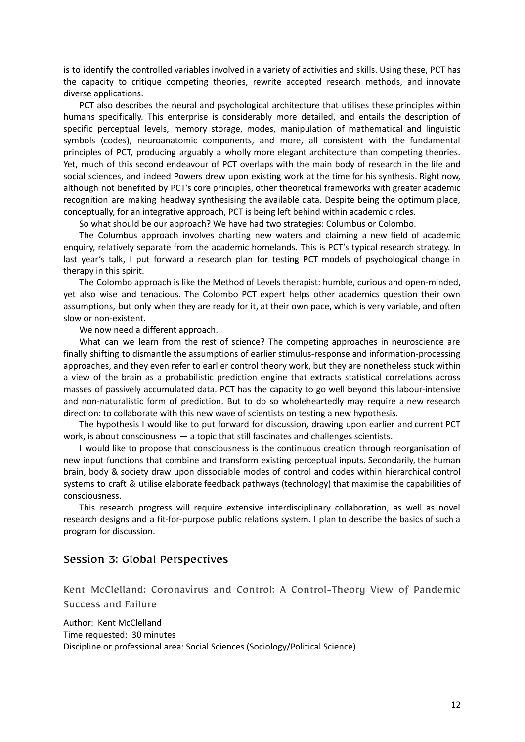is to identify the controlled variables involved in a variety of activities and skills. Using these, PCT has the capacity to critique competing theories, rewrite accepted research methods, and innovate diverse applications.

PCT also describes the neural and psychological architecture that utilises these principles within humans specifically. This enterprise is considerably more detailed, and entails the description of specific perceptual levels, memory storage, modes, manipulation of mathematical and linguistic symbols (codes), neuroanatomic components, and more, all consistent with the fundamental principles of PCT, producing arguably a wholly more elegant architecture than competing theories. Yet, much of this second endeavour of PCT overlaps with the main body of research in the life and social sciences, and indeed Powers drew upon existing work at the time for his synthesis. Right now, although not benefited by PCT's core principles, other theoretical frameworks with greater academic recognition are making headway synthesising the available data. Despite being the optimum place, conceptually, for an integrative approach, PCT is being left behind within academic circles.

So what should be our approach? We have had two strategies: Columbus or Colombo.

The Columbus approach involves charting new waters and claiming a new field of academic enquiry, relatively separate from the academic homelands. This is PCT's typical research strategy. In last year's talk, I put forward a research plan for testing PCT models of psychological change in therapy in this spirit.

The Colombo approach is like the Method of Levels therapist: humble, curious and open-minded, yet also wise and tenacious. The Colombo PCT expert helps other academics question their own assumptions, but only when they are ready for it, at their own pace, which is very variable, and often slow or non-existent.

We now need a different approach.

What can we learn from the rest of science? The competing approaches in neuroscience are finally shifting to dismantle the assumptions of earlier stimulus-response and information-processing approaches, and they even refer to earlier control theory work, but they are nonetheless stuck within a view of the brain as a probabilistic prediction engine that extracts statistical correlations across masses of passively accumulated data. PCT has the capacity to go well beyond this labour-intensive and non-naturalistic form of prediction. But to do so wholeheartedly may require a new research direction: to collaborate with this new wave of scientists on testing a new hypothesis.

The hypothesis I would like to put forward for discussion, drawing upon earlier and current PCT work, is about consciousness — a topic that still fascinates and challenges scientists.

I would like to propose that consciousness is the continuous creation through reorganisation of new input functions that combine and transform existing perceptual inputs. Secondarily, the human brain, body & society draw upon dissociable modes of control and codes within hierarchical control systems to craft & utilise elaborate feedback pathways (technology) that maximise the capabilities of consciousness.

This research progress will require extensive interdisciplinary collaboration, as well as novel research designs and a fit-for-purpose public relations system. I plan to describe the basics of such a program for discussion.

#### <span id="page-11-0"></span>Session 3: Global Perspectives

<span id="page-11-1"></span>Kent McClelland: Coronavirus and Control: A Control-Theory View of Pandemic Success and Failure

Author: Kent McClelland Time requested: 30 minutes Discipline or professional area: Social Sciences (Sociology/Political Science)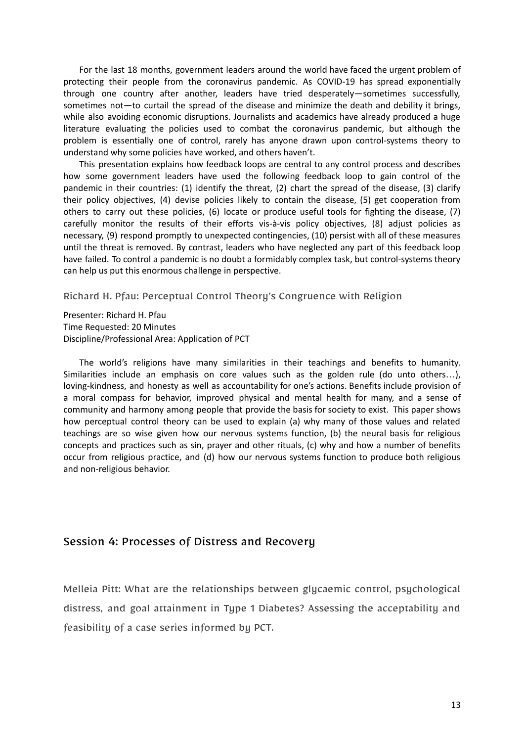For the last 18 months, government leaders around the world have faced the urgent problem of protecting their people from the coronavirus pandemic. As COVID-19 has spread exponentially through one country after another, leaders have tried desperately—sometimes successfully, sometimes not—to curtail the spread of the disease and minimize the death and debility it brings, while also avoiding economic disruptions. Journalists and academics have already produced a huge literature evaluating the policies used to combat the coronavirus pandemic, but although the problem is essentially one of control, rarely has anyone drawn upon control-systems theory to understand why some policies have worked, and others haven't.

This presentation explains how feedback loops are central to any control process and describes how some government leaders have used the following feedback loop to gain control of the pandemic in their countries: (1) identify the threat, (2) chart the spread of the disease, (3) clarify their policy objectives, (4) devise policies likely to contain the disease, (5) get cooperation from others to carry out these policies, (6) locate or produce useful tools for fighting the disease, (7) carefully monitor the results of their efforts vis-à-vis policy objectives, (8) adjust policies as necessary, (9) respond promptly to unexpected contingencies, (10) persist with all of these measures until the threat is removed. By contrast, leaders who have neglected any part of this feedback loop have failed. To control a pandemic is no doubt a formidably complex task, but control-systems theory can help us put this enormous challenge in perspective.

<span id="page-12-0"></span>Richard H. Pfau: Perceptual Control Theory's Congruence with Religion

Presenter: Richard H. Pfau Time Requested: 20 Minutes Discipline/Professional Area: Application of PCT

The world's religions have many similarities in their teachings and benefits to humanity. Similarities include an emphasis on core values such as the golden rule (do unto others…), loving-kindness, and honesty as well as accountability for one's actions. Benefits include provision of a moral compass for behavior, improved physical and mental health for many, and a sense of community and harmony among people that provide the basis for society to exist. This paper shows how perceptual control theory can be used to explain (a) why many of those values and related teachings are so wise given how our nervous systems function, (b) the neural basis for religious concepts and practices such as sin, prayer and other rituals, (c) why and how a number of benefits occur from religious practice, and (d) how our nervous systems function to produce both religious and non-religious behavior.

#### <span id="page-12-1"></span>Session 4: Processes of Distress and Recovery

<span id="page-12-2"></span>Melleia Pitt: What are the relationships between glycaemic control, psychological distress, and goal attainment in Type 1 Diabetes? Assessing the acceptability and feasibility of a case series informed by PCT.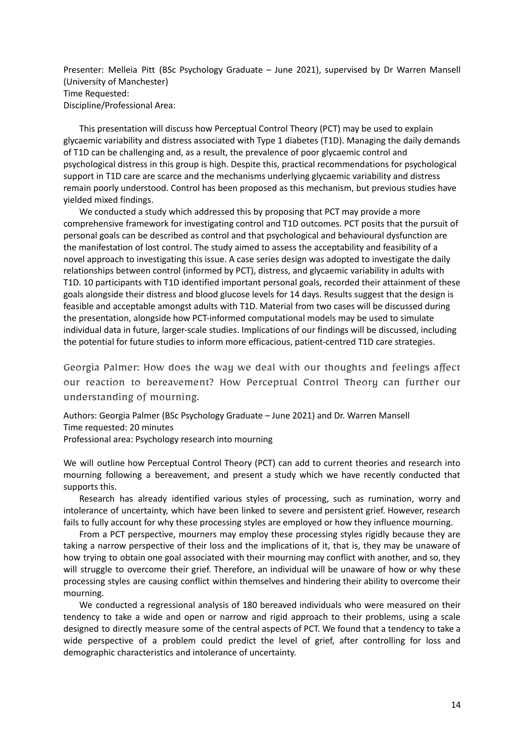Presenter: Melleia Pitt (BSc Psychology Graduate – June 2021), supervised by Dr Warren Mansell (University of Manchester) Time Requested: Discipline/Professional Area:

This presentation will discuss how Perceptual Control Theory (PCT) may be used to explain glycaemic variability and distress associated with Type 1 diabetes (T1D). Managing the daily demands of T1D can be challenging and, as a result, the prevalence of poor glycaemic control and psychological distress in this group is high. Despite this, practical recommendations for psychological support in T1D care are scarce and the mechanisms underlying glycaemic variability and distress remain poorly understood. Control has been proposed as this mechanism, but previous studies have yielded mixed findings.

We conducted a study which addressed this by proposing that PCT may provide a more comprehensive framework for investigating control and T1D outcomes. PCT posits that the pursuit of personal goals can be described as control and that psychological and behavioural dysfunction are the manifestation of lost control. The study aimed to assess the acceptability and feasibility of a novel approach to investigating this issue. A case series design was adopted to investigate the daily relationships between control (informed by PCT), distress, and glycaemic variability in adults with T1D. 10 participants with T1D identified important personal goals, recorded their attainment of these goals alongside their distress and blood glucose levels for 14 days. Results suggest that the design is feasible and acceptable amongst adults with T1D. Material from two cases will be discussed during the presentation, alongside how PCT-informed computational models may be used to simulate individual data in future, larger-scale studies. Implications of our findings will be discussed, including the potential for future studies to inform more efficacious, patient-centred T1D care strategies.

Georgia Palmer: How does the way we deal with our thoughts and feelings affect our reaction to bereavement? How Perceptual Control Theory can further our understanding of mourning.

<span id="page-13-0"></span>Authors: Georgia Palmer (BSc Psychology Graduate – June 2021) and Dr. Warren Mansell Time requested: 20 minutes

Professional area: Psychology research into mourning

We will outline how Perceptual Control Theory (PCT) can add to current theories and research into mourning following a bereavement, and present a study which we have recently conducted that supports this.

Research has already identified various styles of processing, such as rumination, worry and intolerance of uncertainty, which have been linked to severe and persistent grief. However, research fails to fully account for why these processing styles are employed or how they influence mourning.

From a PCT perspective, mourners may employ these processing styles rigidly because they are taking a narrow perspective of their loss and the implications of it, that is, they may be unaware of how trying to obtain one goal associated with their mourning may conflict with another, and so, they will struggle to overcome their grief. Therefore, an individual will be unaware of how or why these processing styles are causing conflict within themselves and hindering their ability to overcome their mourning.

We conducted a regressional analysis of 180 bereaved individuals who were measured on their tendency to take a wide and open or narrow and rigid approach to their problems, using a scale designed to directly measure some of the central aspects of PCT. We found that a tendency to take a wide perspective of a problem could predict the level of grief, after controlling for loss and demographic characteristics and intolerance of uncertainty.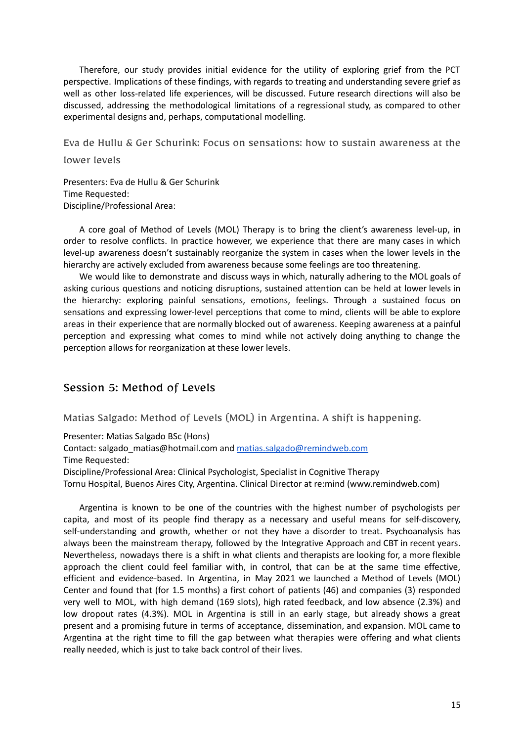Therefore, our study provides initial evidence for the utility of exploring grief from the PCT perspective. Implications of these findings, with regards to treating and understanding severe grief as well as other loss-related life experiences, will be discussed. Future research directions will also be discussed, addressing the methodological limitations of a regressional study, as compared to other experimental designs and, perhaps, computational modelling.

Eva de Hullu & Ger Schurink: Focus on sensations: how to sustain awareness at the

<span id="page-14-0"></span>lower levels

Presenters: Eva de Hullu & Ger Schurink Time Requested: Discipline/Professional Area:

A core goal of Method of Levels (MOL) Therapy is to bring the client's awareness level-up, in order to resolve conflicts. In practice however, we experience that there are many cases in which level-up awareness doesn't sustainably reorganize the system in cases when the lower levels in the hierarchy are actively excluded from awareness because some feelings are too threatening.

We would like to demonstrate and discuss ways in which, naturally adhering to the MOL goals of asking curious questions and noticing disruptions, sustained attention can be held at lower levels in the hierarchy: exploring painful sensations, emotions, feelings. Through a sustained focus on sensations and expressing lower-level perceptions that come to mind, clients will be able to explore areas in their experience that are normally blocked out of awareness. Keeping awareness at a painful perception and expressing what comes to mind while not actively doing anything to change the perception allows for reorganization at these lower levels.

## <span id="page-14-1"></span>Session 5: Method of Levels

<span id="page-14-2"></span>Matias Salgado: Method of Levels (MOL) in Argentina. A shift is happening.

Presenter: Matias Salgado BSc (Hons)

Contact: salgado\_matias@hotmail.com and [matias.salgado@remindweb.com](mailto:matias.salgado@remindweb.com) Time Requested:

Discipline/Professional Area: Clinical Psychologist, Specialist in Cognitive Therapy Tornu Hospital, Buenos Aires City, Argentina. Clinical Director at re:mind (www.remindweb.com)

Argentina is known to be one of the countries with the highest number of psychologists per capita, and most of its people find therapy as a necessary and useful means for self-discovery, self-understanding and growth, whether or not they have a disorder to treat. Psychoanalysis has always been the mainstream therapy, followed by the Integrative Approach and CBT in recent years. Nevertheless, nowadays there is a shift in what clients and therapists are looking for, a more flexible approach the client could feel familiar with, in control, that can be at the same time effective, efficient and evidence-based. In Argentina, in May 2021 we launched a Method of Levels (MOL) Center and found that (for 1.5 months) a first cohort of patients (46) and companies (3) responded very well to MOL, with high demand (169 slots), high rated feedback, and low absence (2.3%) and low dropout rates (4.3%). MOL in Argentina is still in an early stage, but already shows a great present and a promising future in terms of acceptance, dissemination, and expansion. MOL came to Argentina at the right time to fill the gap between what therapies were offering and what clients really needed, which is just to take back control of their lives.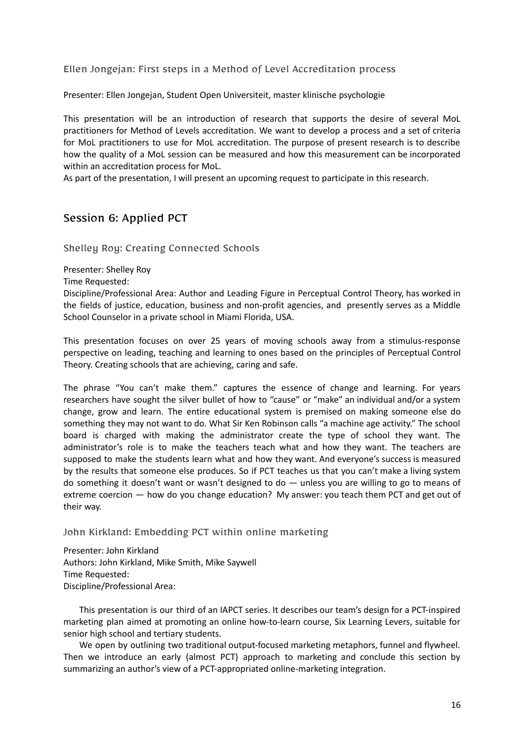<span id="page-15-0"></span>Ellen Jongejan: First steps in a Method of Level Accreditation process

Presenter: Ellen Jongejan, Student Open Universiteit, master klinische psychologie

This presentation will be an introduction of research that supports the desire of several MoL practitioners for Method of Levels accreditation. We want to develop a process and a set of criteria for MoL practitioners to use for MoL accreditation. The purpose of present research is to describe how the quality of a MoL session can be measured and how this measurement can be incorporated within an accreditation process for MoL.

As part of the presentation, I will present an upcoming request to participate in this research.

## <span id="page-15-1"></span>Session 6: Applied PCT

<span id="page-15-2"></span>Shelley Roy: Creating Connected Schools

Presenter: Shelley Roy

Time Requested:

Discipline/Professional Area: Author and Leading Figure in Perceptual Control Theory, has worked in the fields of justice, education, business and non-profit agencies, and presently serves as a Middle School Counselor in a private school in Miami Florida, USA.

This presentation focuses on over 25 years of moving schools away from a stimulus-response perspective on leading, teaching and learning to ones based on the principles of Perceptual Control Theory. Creating schools that are achieving, caring and safe.

The phrase "You can't make them." captures the essence of change and learning. For years researchers have sought the silver bullet of how to "cause" or "make" an individual and/or a system change, grow and learn. The entire educational system is premised on making someone else do something they may not want to do. What Sir Ken Robinson calls "a machine age activity." The school board is charged with making the administrator create the type of school they want. The administrator's role is to make the teachers teach what and how they want. The teachers are supposed to make the students learn what and how they want. And everyone's success is measured by the results that someone else produces. So if PCT teaches us that you can't make a living system do something it doesn't want or wasn't designed to do — unless you are willing to go to means of extreme coercion — how do you change education? My answer: you teach them PCT and get out of their way.

<span id="page-15-3"></span>John Kirkland: Embedding PCT within online marketing

Presenter: John Kirkland Authors: John Kirkland, Mike Smith, Mike Saywell Time Requested: Discipline/Professional Area:

This presentation is our third of an IAPCT series. It describes our team's design for a PCT-inspired marketing plan aimed at promoting an online how-to-learn course, Six Learning Levers, suitable for senior high school and tertiary students.

We open by outlining two traditional output-focused marketing metaphors, funnel and flywheel. Then we introduce an early (almost PCT) approach to marketing and conclude this section by summarizing an author's view of a PCT-appropriated online-marketing integration.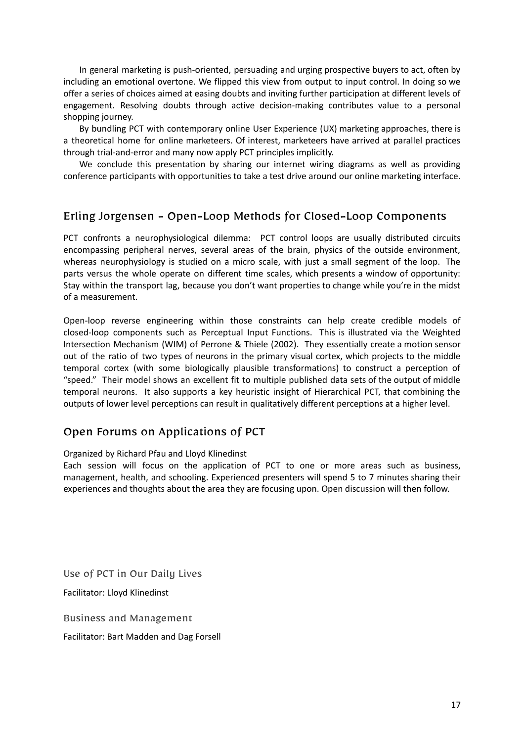In general marketing is push-oriented, persuading and urging prospective buyers to act, often by including an emotional overtone. We flipped this view from output to input control. In doing so we offer a series of choices aimed at easing doubts and inviting further participation at different levels of engagement. Resolving doubts through active decision-making contributes value to a personal shopping journey.

By bundling PCT with contemporary online User Experience (UX) marketing approaches, there is a theoretical home for online marketeers. Of interest, marketeers have arrived at parallel practices through trial-and-error and many now apply PCT principles implicitly.

We conclude this presentation by sharing our internet wiring diagrams as well as providing conference participants with opportunities to take a test drive around our online marketing interface.

## <span id="page-16-0"></span>Erling Jorgensen - Open-Loop Methods for Closed-Loop Components

PCT confronts a neurophysiological dilemma: PCT control loops are usually distributed circuits encompassing peripheral nerves, several areas of the brain, physics of the outside environment, whereas neurophysiology is studied on a micro scale, with just a small segment of the loop. The parts versus the whole operate on different time scales, which presents a window of opportunity: Stay within the transport lag, because you don't want properties to change while you're in the midst of a measurement.

Open-loop reverse engineering within those constraints can help create credible models of closed-loop components such as Perceptual Input Functions. This is illustrated via the Weighted Intersection Mechanism (WIM) of Perrone & Thiele (2002). They essentially create a motion sensor out of the ratio of two types of neurons in the primary visual cortex, which projects to the middle temporal cortex (with some biologically plausible transformations) to construct a perception of "speed." Their model shows an excellent fit to multiple published data sets of the output of middle temporal neurons. It also supports a key heuristic insight of Hierarchical PCT, that combining the outputs of lower level perceptions can result in qualitatively different perceptions at a higher level.

## <span id="page-16-1"></span>Open Forums on Applications of PCT

Organized by Richard Pfau and Lloyd Klinedinst

Each session will focus on the application of PCT to one or more areas such as business, management, health, and schooling. Experienced presenters will spend 5 to 7 minutes sharing their experiences and thoughts about the area they are focusing upon. Open discussion will then follow.

<span id="page-16-2"></span>Use of PCT in Our Daily Lives

<span id="page-16-3"></span>Facilitator: Lloyd Klinedinst

Business and Management

Facilitator: Bart Madden and Dag Forsell